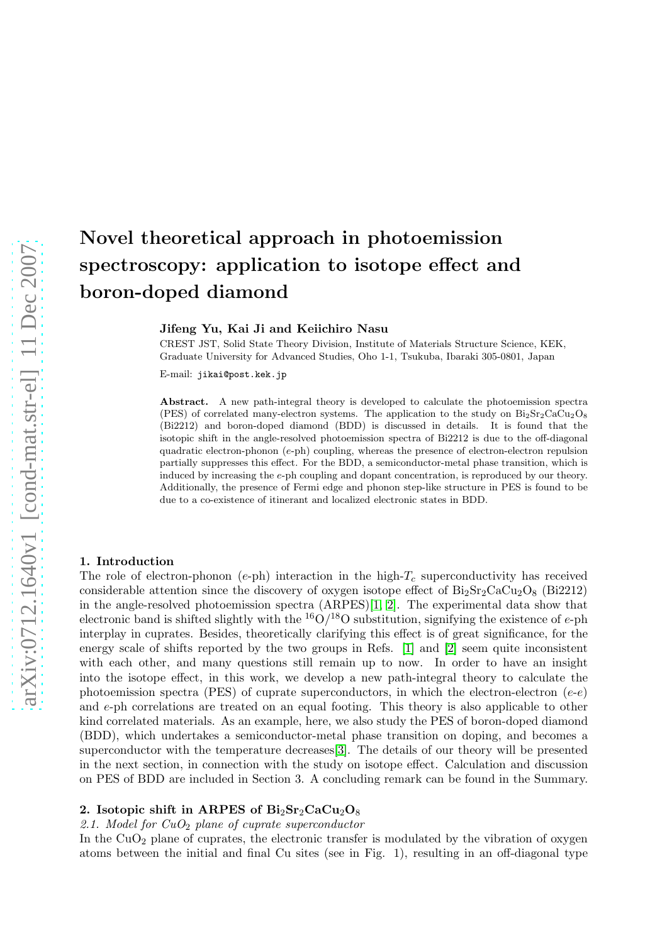# Novel theoretical approach in photoemission spectroscopy: application to isotope effect and boron-doped diamond

Jifeng Yu, Kai Ji and Keiichiro Nasu

CREST JST, Solid State Theory Division, Institute of Materials Structure Science, KEK, Graduate University for Advanced Studies, Oho 1-1, Tsukuba, Ibaraki 305-0801, Japan

E-mail: jikai@post.kek.jp

Abstract. A new path-integral theory is developed to calculate the photoemission spectra (PES) of correlated many-electron systems. The application to the study on  $Bi<sub>2</sub>Sr<sub>2</sub>CaCu<sub>2</sub>O<sub>8</sub>$ (Bi2212) and boron-doped diamond (BDD) is discussed in details. It is found that the isotopic shift in the angle-resolved photoemission spectra of Bi2212 is due to the off-diagonal quadratic electron-phonon (e-ph) coupling, whereas the presence of electron-electron repulsion partially suppresses this effect. For the BDD, a semiconductor-metal phase transition, which is induced by increasing the e-ph coupling and dopant concentration, is reproduced by our theory. Additionally, the presence of Fermi edge and phonon step-like structure in PES is found to be due to a co-existence of itinerant and localized electronic states in BDD.

### 1. Introduction

The role of electron-phonon (e-ph) interaction in the high- $T_c$  superconductivity has received considerable attention since the discovery of oxygen isotope effect of  $Bi_2Sr_2CaCu_2O_8$  (Bi2212) in the angle-resolved photoemission spectra (ARPES)[\[1,](#page-5-0) [2\]](#page-5-1). The experimental data show that electronic band is shifted slightly with the  $^{16}O/^{18}O$  substitution, signifying the existence of e-ph interplay in cuprates. Besides, theoretically clarifying this effect is of great significance, for the energy scale of shifts reported by the two groups in Refs. [\[1\]](#page-5-0) and [\[2\]](#page-5-1) seem quite inconsistent with each other, and many questions still remain up to now. In order to have an insight into the isotope effect, in this work, we develop a new path-integral theory to calculate the photoemission spectra (PES) of cuprate superconductors, in which the electron-electron  $(e-e)$ and e-ph correlations are treated on an equal footing. This theory is also applicable to other kind correlated materials. As an example, here, we also study the PES of boron-doped diamond (BDD), which undertakes a semiconductor-metal phase transition on doping, and becomes a superconductor with the temperature decreases[\[3\]](#page-5-2). The details of our theory will be presented in the next section, in connection with the study on isotope effect. Calculation and discussion on PES of BDD are included in Section 3. A concluding remark can be found in the Summary.

## 2. Isotopic shift in ARPES of  $Bi_2Sr_2CaCu_2O_8$

## 2.1. Model for  $CuO<sub>2</sub>$  plane of cuprate superconductor

In the  $CuO<sub>2</sub>$  plane of cuprates, the electronic transfer is modulated by the vibration of oxygen atoms between the initial and final Cu sites (see in Fig. 1), resulting in an off-diagonal type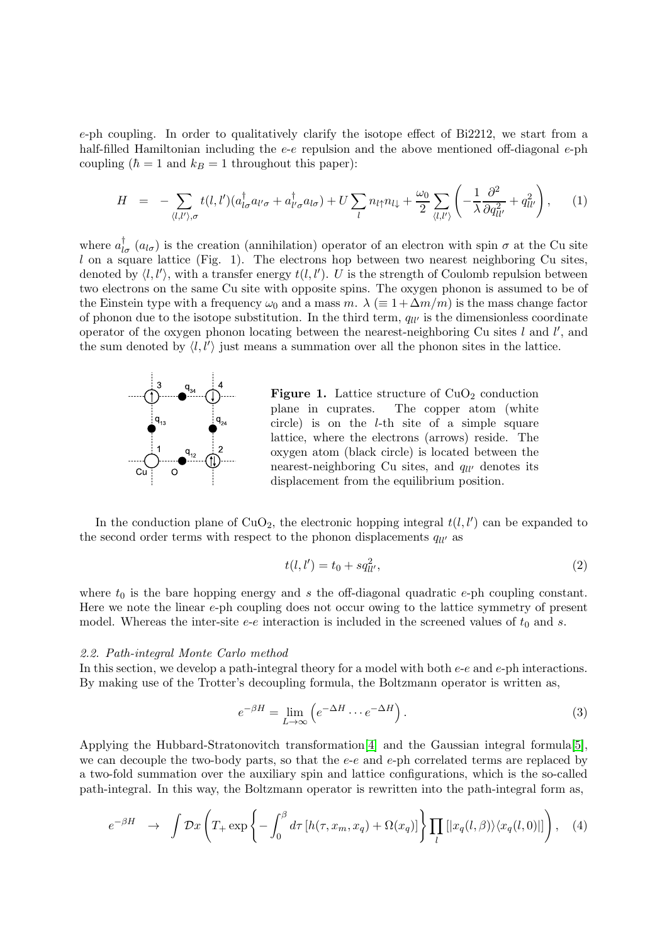e-ph coupling. In order to qualitatively clarify the isotope effect of Bi2212, we start from a half-filled Hamiltonian including the e-e repulsion and the above mentioned off-diagonal e-ph coupling ( $\hbar = 1$  and  $k_B = 1$  throughout this paper):

$$
H = -\sum_{\langle l,l'\rangle,\sigma} t(l,l')(a_{l\sigma}^{\dagger}a_{l'\sigma} + a_{l'\sigma}^{\dagger}a_{l\sigma}) + U\sum_{l} n_{l\uparrow}n_{l\downarrow} + \frac{\omega_0}{2} \sum_{\langle l,l'\rangle} \left( -\frac{1}{\lambda} \frac{\partial^2}{\partial q_{ll'}^2} + q_{ll'}^2 \right), \tag{1}
$$

where  $a_{l\sigma}^{\dagger}$  ( $a_{l\sigma}$ ) is the creation (annihilation) operator of an electron with spin  $\sigma$  at the Cu site  $l$  on a square lattice (Fig. 1). The electrons hop between two nearest neighboring Cu sites, denoted by  $\langle l, l' \rangle$ , with a transfer energy  $t(l, l')$ . U is the strength of Coulomb repulsion between two electrons on the same Cu site with opposite spins. The oxygen phonon is assumed to be of the Einstein type with a frequency  $\omega_0$  and a mass m.  $\lambda \equiv 1 + \Delta m/m$  is the mass change factor of phonon due to the isotope substitution. In the third term,  $q_{ll'}$  is the dimensionless coordinate operator of the oxygen phonon locating between the nearest-neighboring Cu sites  $l$  and  $l'$ , and the sum denoted by  $\langle l, l' \rangle$  just means a summation over all the phonon sites in the lattice.



Figure 1. Lattice structure of  $CuO<sub>2</sub>$  conduction plane in cuprates. The copper atom (white circle) is on the l-th site of a simple square lattice, where the electrons (arrows) reside. The oxygen atom (black circle) is located between the nearest-neighboring Cu sites, and  $q_{ll'}$  denotes its displacement from the equilibrium position.

In the conduction plane of  $CuO<sub>2</sub>$ , the electronic hopping integral  $t(l, l')$  can be expanded to the second order terms with respect to the phonon displacements  $q_{ll'}$  as

$$
t(l, l') = t_0 + sq_{ll'}^2,\tag{2}
$$

where  $t_0$  is the bare hopping energy and s the off-diagonal quadratic e-ph coupling constant. Here we note the linear  $e$ -ph coupling does not occur owing to the lattice symmetry of present model. Whereas the inter-site  $e-e$  interaction is included in the screened values of  $t_0$  and s.

## 2.2. Path-integral Monte Carlo method

In this section, we develop a path-integral theory for a model with both e-e and e-ph interactions. By making use of the Trotter's decoupling formula, the Boltzmann operator is written as,

$$
e^{-\beta H} = \lim_{L \to \infty} \left( e^{-\Delta H} \cdots e^{-\Delta H} \right).
$$
 (3)

Applying the Hubbard-Stratonovitch transformation[\[4\]](#page-5-3) and the Gaussian integral formula[\[5\]](#page-5-4), we can decouple the two-body parts, so that the  $e-e$  and  $e$ -ph correlated terms are replaced by a two-fold summation over the auxiliary spin and lattice configurations, which is the so-called path-integral. In this way, the Boltzmann operator is rewritten into the path-integral form as,

$$
e^{-\beta H} \rightarrow \int \mathcal{D}x \left( T_+ \exp\left\{ -\int_0^\beta d\tau \left[ h(\tau, x_m, x_q) + \Omega(x_q) \right] \right\} \prod_l \left[ |x_q(l, \beta) \rangle \langle x_q(l, 0) | \right] \right), \quad (4)
$$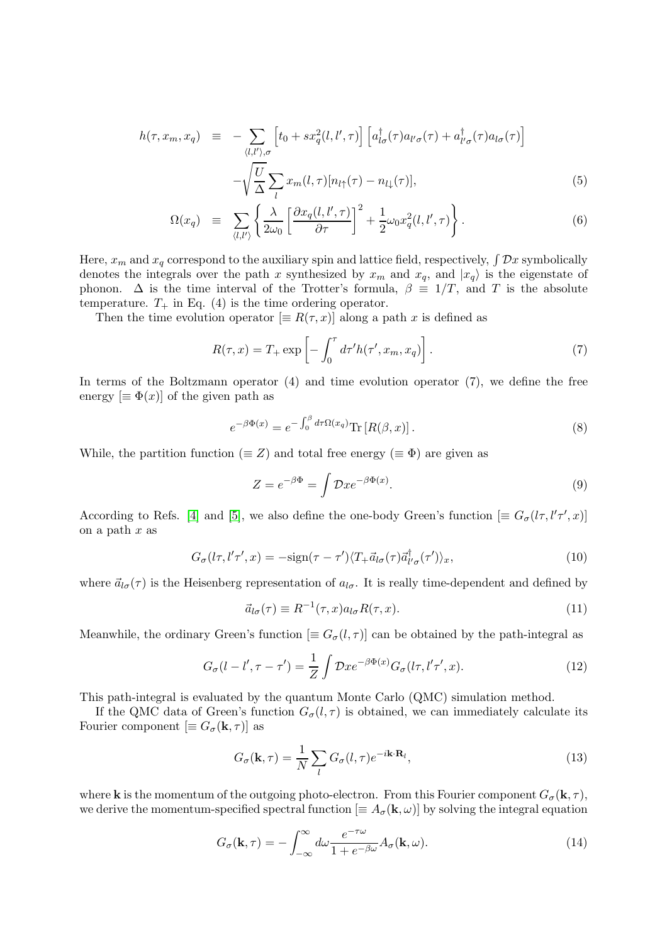$$
h(\tau, x_m, x_q) \equiv -\sum_{\langle l,l'\rangle,\sigma} \left[ t_0 + sx_q^2(l,l',\tau) \right] \left[ a_{l\sigma}^{\dagger}(\tau) a_{l'\sigma}(\tau) + a_{l'\sigma}^{\dagger}(\tau) a_{l\sigma}(\tau) \right] -\sqrt{\frac{U}{\Delta}} \sum_l x_m(l,\tau) [n_{l\uparrow}(\tau) - n_{l\downarrow}(\tau)], \tag{5}
$$

$$
\Omega(x_q) \equiv \sum_{\langle l,l'\rangle} \left\{ \frac{\lambda}{2\omega_0} \left[ \frac{\partial x_q(l,l',\tau)}{\partial \tau} \right]^2 + \frac{1}{2} \omega_0 x_q^2(l,l',\tau) \right\}.
$$
\n(6)

Here,  $x_m$  and  $x_q$  correspond to the auxiliary spin and lattice field, respectively,  $\int \mathcal{D}x$  symbolically denotes the integrals over the path x synthesized by  $x_m$  and  $x_q$ , and  $|x_q\rangle$  is the eigenstate of phonon.  $\Delta$  is the time interval of the Trotter's formula,  $\beta \equiv 1/T$ , and T is the absolute temperature.  $T_+$  in Eq. (4) is the time ordering operator.

Then the time evolution operator  $[\equiv R(\tau, x)]$  along a path x is defined as

$$
R(\tau, x) = T_+ \exp\left[-\int_0^{\tau} d\tau' h(\tau', x_m, x_q)\right].
$$
 (7)

In terms of the Boltzmann operator (4) and time evolution operator (7), we define the free energy  $[\equiv \Phi(x)]$  of the given path as

$$
e^{-\beta \Phi(x)} = e^{-\int_0^\beta d\tau \Omega(x_q)} \text{Tr} \left[ R(\beta, x) \right]. \tag{8}
$$

While, the partition function ( $\equiv Z$ ) and total free energy ( $\equiv \Phi$ ) are given as

$$
Z = e^{-\beta \Phi} = \int \mathcal{D}x e^{-\beta \Phi(x)}.
$$
\n(9)

According to Refs. [\[4\]](#page-5-3) and [\[5\]](#page-5-4), we also define the one-body Green's function  $[\equiv G_{\sigma}(l\tau, l'\tau', x)]$ on a path  $x$  as

$$
G_{\sigma}(l\tau, l'\tau', x) = -\text{sign}(\tau - \tau')\langle T_{+} \vec{a}_{l\sigma}(\tau)\vec{a}_{l'\sigma}^{\dagger}(\tau')\rangle_{x},\tag{10}
$$

where  $\vec{a}_{l\sigma}(\tau)$  is the Heisenberg representation of  $a_{l\sigma}$ . It is really time-dependent and defined by

$$
\vec{a}_{l\sigma}(\tau) \equiv R^{-1}(\tau, x) a_{l\sigma} R(\tau, x). \tag{11}
$$

Meanwhile, the ordinary Green's function  $[\equiv G_{\sigma}(l,\tau)]$  can be obtained by the path-integral as

$$
G_{\sigma}(l-l',\tau-\tau') = \frac{1}{Z} \int \mathcal{D}x e^{-\beta \Phi(x)} G_{\sigma}(l\tau,l'\tau',x). \tag{12}
$$

This path-integral is evaluated by the quantum Monte Carlo (QMC) simulation method.

If the QMC data of Green's function  $G_{\sigma}(l, \tau)$  is obtained, we can immediately calculate its Fourier component  $[\equiv G_{\sigma}({\bf k},\tau)]$  as

$$
G_{\sigma}(\mathbf{k},\tau) = \frac{1}{N} \sum_{l} G_{\sigma}(l,\tau) e^{-i\mathbf{k}\cdot\mathbf{R}_{l}},
$$
\n(13)

where **k** is the momentum of the outgoing photo-electron. From this Fourier component  $G_{\sigma}(\mathbf{k}, \tau)$ , we derive the momentum-specified spectral function  $[\equiv A_{\sigma}(\mathbf{k}, \omega)]$  by solving the integral equation

$$
G_{\sigma}(\mathbf{k},\tau) = -\int_{-\infty}^{\infty} d\omega \frac{e^{-\tau\omega}}{1 + e^{-\beta\omega}} A_{\sigma}(\mathbf{k},\omega).
$$
 (14)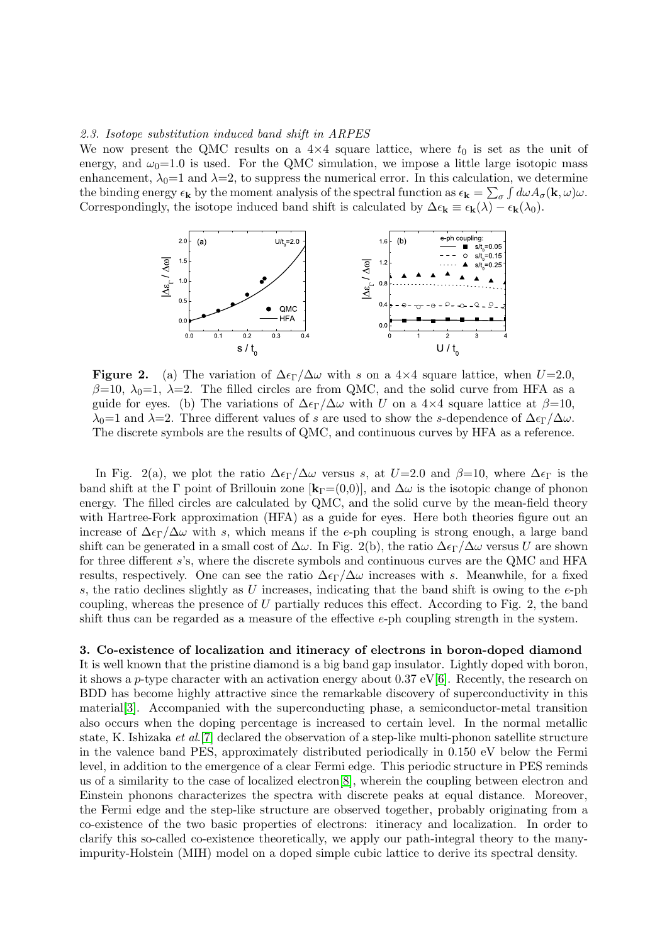## 2.3. Isotope substitution induced band shift in ARPES

We now present the QMC results on a  $4\times4$  square lattice, where  $t_0$  is set as the unit of energy, and  $\omega_0=1.0$  is used. For the QMC simulation, we impose a little large isotopic mass enhancement,  $\lambda_0=1$  and  $\lambda=2$ , to suppress the numerical error. In this calculation, we determine the binding energy  $\epsilon_{\mathbf{k}}$  by the moment analysis of the spectral function as  $\epsilon_{\mathbf{k}} = \sum_{\sigma} \int d\omega A_{\sigma}(\mathbf{k}, \omega) \omega$ . Correspondingly, the isotope induced band shift is calculated by  $\Delta \epsilon_{\mathbf{k}} \equiv \epsilon_{\mathbf{k}}(\lambda) - \epsilon_{\mathbf{k}}(\lambda_0)$ .



**Figure 2.** (a) The variation of  $\Delta \epsilon_{\Gamma}/\Delta \omega$  with s on a 4×4 square lattice, when  $U=2.0$ ,  $\beta=10$ ,  $\lambda_0=1$ ,  $\lambda=2$ . The filled circles are from QMC, and the solid curve from HFA as a guide for eyes. (b) The variations of  $\Delta \epsilon_{\Gamma}/\Delta \omega$  with U on a 4×4 square lattice at  $\beta=10$ , λ<sub>0</sub>=1 and λ=2. Three different values of s are used to show the s-dependence of  $\Delta \epsilon_{\Gamma}/\Delta \omega$ . The discrete symbols are the results of QMC, and continuous curves by HFA as a reference.

In Fig. 2(a), we plot the ratio  $\Delta \epsilon_{\Gamma}/\Delta \omega$  versus s, at  $U=2.0$  and  $\beta=10$ , where  $\Delta \epsilon_{\Gamma}$  is the band shift at the Γ point of Brillouin zone  $[k_\Gamma=(0,0)]$ , and  $\Delta\omega$  is the isotopic change of phonon energy. The filled circles are calculated by QMC, and the solid curve by the mean-field theory with Hartree-Fork approximation (HFA) as a guide for eyes. Here both theories figure out an increase of  $\Delta \epsilon_{\Gamma}/\Delta \omega$  with s, which means if the e-ph coupling is strong enough, a large band shift can be generated in a small cost of  $\Delta\omega$ . In Fig. 2(b), the ratio  $\Delta\epsilon\Gamma/\Delta\omega$  versus U are shown for three different s's, where the discrete symbols and continuous curves are the QMC and HFA results, respectively. One can see the ratio  $\Delta \epsilon_{\Gamma}/\Delta \omega$  increases with s. Meanwhile, for a fixed s, the ratio declines slightly as U increases, indicating that the band shift is owing to the  $e$ -ph coupling, whereas the presence of  $U$  partially reduces this effect. According to Fig. 2, the band shift thus can be regarded as a measure of the effective e-ph coupling strength in the system.

## 3. Co-existence of localization and itineracy of electrons in boron-doped diamond

It is well known that the pristine diamond is a big band gap insulator. Lightly doped with boron, it shows a p-type character with an activation energy about 0.37 eV[\[6\]](#page-5-5). Recently, the research on BDD has become highly attractive since the remarkable discovery of superconductivity in this material[\[3\]](#page-5-2). Accompanied with the superconducting phase, a semiconductor-metal transition also occurs when the doping percentage is increased to certain level. In the normal metallic state, K. Ishizaka et al.[\[7\]](#page-5-6) declared the observation of a step-like multi-phonon satellite structure in the valence band PES, approximately distributed periodically in 0.150 eV below the Fermi level, in addition to the emergence of a clear Fermi edge. This periodic structure in PES reminds us of a similarity to the case of localized electron[\[8\]](#page-5-7), wherein the coupling between electron and Einstein phonons characterizes the spectra with discrete peaks at equal distance. Moreover, the Fermi edge and the step-like structure are observed together, probably originating from a co-existence of the two basic properties of electrons: itineracy and localization. In order to clarify this so-called co-existence theoretically, we apply our path-integral theory to the manyimpurity-Holstein (MIH) model on a doped simple cubic lattice to derive its spectral density.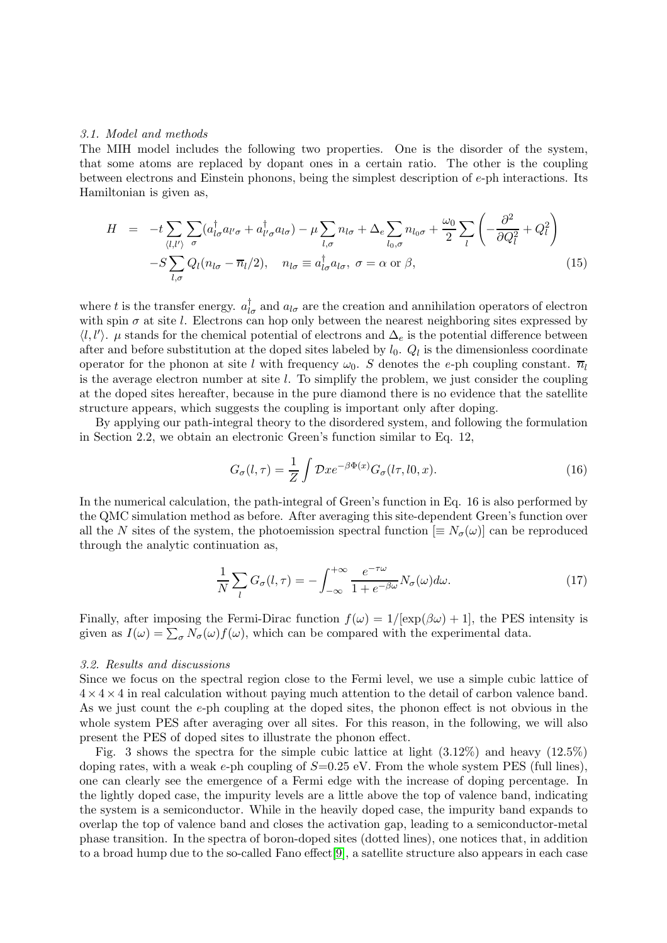## 3.1. Model and methods

The MIH model includes the following two properties. One is the disorder of the system, that some atoms are replaced by dopant ones in a certain ratio. The other is the coupling between electrons and Einstein phonons, being the simplest description of e-ph interactions. Its Hamiltonian is given as,

$$
H = -t \sum_{\langle l,l' \rangle} \sum_{\sigma} (a_{l\sigma}^{\dagger} a_{l'\sigma} + a_{l'\sigma}^{\dagger} a_{l\sigma}) - \mu \sum_{l,\sigma} n_{l\sigma} + \Delta_e \sum_{l_0,\sigma} n_{l_0\sigma} + \frac{\omega_0}{2} \sum_{l} \left( -\frac{\partial^2}{\partial Q_l^2} + Q_l^2 \right) -S \sum_{l,\sigma} Q_l (n_{l\sigma} - \overline{n}_l/2), \quad n_{l\sigma} \equiv a_{l\sigma}^{\dagger} a_{l\sigma}, \sigma = \alpha \text{ or } \beta,
$$
\n(15)

where t is the transfer energy.  $a_{l\sigma}^{\dagger}$  and  $a_{l\sigma}$  are the creation and annihilation operators of electron with spin  $\sigma$  at site l. Electrons can hop only between the nearest neighboring sites expressed by  $\langle l, l' \rangle$ .  $\mu$  stands for the chemical potential of electrons and  $\Delta_e$  is the potential difference between after and before substitution at the doped sites labeled by  $l_0$ .  $Q_l$  is the dimensionless coordinate operator for the phonon at site l with frequency  $\omega_0$ . S denotes the e-ph coupling constant.  $\overline{n}_l$ is the average electron number at site  $l$ . To simplify the problem, we just consider the coupling at the doped sites hereafter, because in the pure diamond there is no evidence that the satellite structure appears, which suggests the coupling is important only after doping.

By applying our path-integral theory to the disordered system, and following the formulation in Section 2.2, we obtain an electronic Green's function similar to Eq. 12,

$$
G_{\sigma}(l,\tau) = \frac{1}{Z} \int \mathcal{D}x e^{-\beta \Phi(x)} G_{\sigma}(l\tau,l0,x). \tag{16}
$$

In the numerical calculation, the path-integral of Green's function in Eq. 16 is also performed by the QMC simulation method as before. After averaging this site-dependent Green's function over all the N sites of the system, the photoemission spectral function  $[\equiv N_{\sigma}(\omega)]$  can be reproduced through the analytic continuation as,

$$
\frac{1}{N}\sum_{l}G_{\sigma}(l,\tau)=-\int_{-\infty}^{+\infty}\frac{e^{-\tau\omega}}{1+e^{-\beta\omega}}N_{\sigma}(\omega)d\omega.
$$
\n(17)

Finally, after imposing the Fermi-Dirac function  $f(\omega) = 1/[\exp(\beta \omega) + 1]$ , the PES intensity is given as  $I(\omega) = \sum_{\sigma} N_{\sigma}(\omega) f(\omega)$ , which can be compared with the experimental data.

#### 3.2. Results and discussions

Since we focus on the spectral region close to the Fermi level, we use a simple cubic lattice of  $4 \times 4 \times 4$  in real calculation without paying much attention to the detail of carbon valence band. As we just count the e-ph coupling at the doped sites, the phonon effect is not obvious in the whole system PES after averaging over all sites. For this reason, in the following, we will also present the PES of doped sites to illustrate the phonon effect.

Fig. 3 shows the spectra for the simple cubic lattice at light (3.12%) and heavy (12.5%) doping rates, with a weak e-ph coupling of  $S=0.25$  eV. From the whole system PES (full lines), one can clearly see the emergence of a Fermi edge with the increase of doping percentage. In the lightly doped case, the impurity levels are a little above the top of valence band, indicating the system is a semiconductor. While in the heavily doped case, the impurity band expands to overlap the top of valence band and closes the activation gap, leading to a semiconductor-metal phase transition. In the spectra of boron-doped sites (dotted lines), one notices that, in addition to a broad hump due to the so-called Fano effect[\[9\]](#page-5-8), a satellite structure also appears in each case